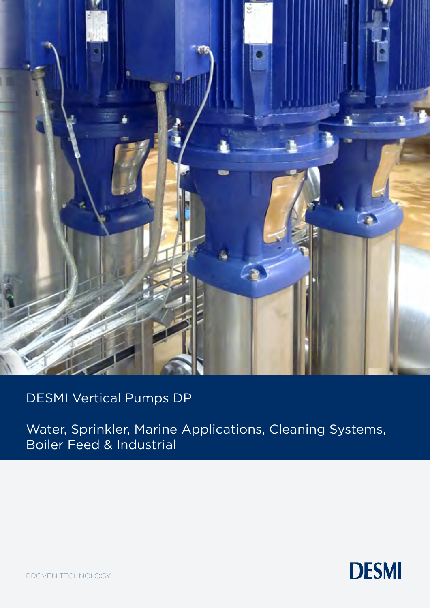

## DESMI Vertical Pumps DP

Water, Sprinkler, Marine Applications, Cleaning Systems, Boiler Feed & Industrial



PROVEN TECHNOLOGY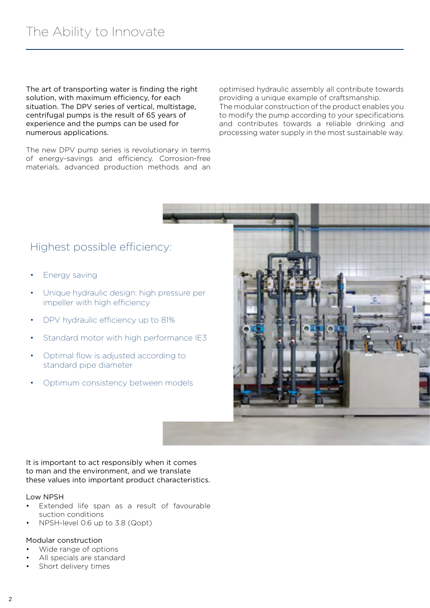The art of transporting water is finding the right solution, with maximum efficiency, for each situation. The DPV series of vertical, multistage, centrifugal pumps is the result of 65 years of experience and the pumps can be used for numerous applications.

The new DPV pump series is revolutionary in terms of energy-savings and efficiency. Corrosion-free materials, advanced production methods and an optimised hydraulic assembly all contribute towards providing a unique example of craftsmanship. The modular construction of the product enables you

to modify the pump according to your specifications and contributes towards a reliable drinking and processing water supply in the most sustainable way.

## Highest possible efficiency:

- Energy saving
- Unique hydraulic design: high pressure per impeller with high efficiency
- DPV hydraulic efficiency up to 81%
- Standard motor with high performance IE3
- Optimal flow is adjusted according to standard pipe diameter
- Optimum consistency between models



It is important to act responsibly when it comes to man and the environment, and we translate these values into important product characteristics.

#### Low NPSH

- Extended life span as a result of favourable suction conditions
- NPSH-level 0.6 up to 3.8 (Qopt)

#### Modular construction

- Wide range of options
- All specials are standard
- Short delivery times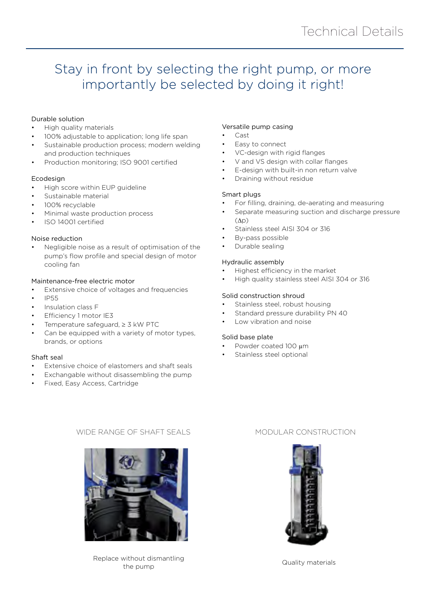## Stay in front by selecting the right pump, or more importantly be selected by doing it right!

#### Durable solution

- High quality materials
- 100% adjustable to application; long life span
- Sustainable production process; modern welding and production techniques
- Production monitoring; ISO 9001 certified

#### Ecodesign

- High score within EUP guideline
- Sustainable material
- 100% recyclable
- Minimal waste production process
- ISO 14001 certified

#### Noise reduction

• Negligible noise as a result of optimisation of the pump's flow profile and special design of motor cooling fan

#### Maintenance-free electric motor

- Extensive choice of voltages and frequencies
- IP55
- Insulation class F
- Efficiency 1 motor IE3
- Temperature safeguard, ≥ 3 kW PTC
- Can be equipped with a variety of motor types, brands, or options

#### Shaft seal

- Extensive choice of elastomers and shaft seals
- Exchangable without disassembling the pump
- Fixed, Easy Access, Cartridge

#### Versatile pump casing

- Cast
- Easy to connect
- VC-design with rigid flanges
- V and VS design with collar flanges
- E-design with built-in non return valve
- Draining without residue

#### Smart plugs

- For filling, draining, de-aerating and measuring
- Separate measuring suction and discharge pressure  $(\Delta p)$
- Stainless steel AISI 304 or 316
- By-pass possible
- Durable sealing

#### Hydraulic assembly

- Highest efficiency in the market
- High quality stainless steel AISI 304 or 316

#### Solid construction shroud

- Stainless steel, robust housing
- Standard pressure durability PN 40
- Low vibration and noise

#### Solid base plate

- Powder coated 100 um
- Stainless steel optional

### WIDE RANGE OF SHAFT SFALS MODULAR CONSTRUCTION



Replace without dismantling without distributing<br>the pump distribution of the pump of the pump of the pump of the pump of the pump of the pump of the pump of the pump of the pump of the pump of the pump of the pump of the pump of the pump of the pump

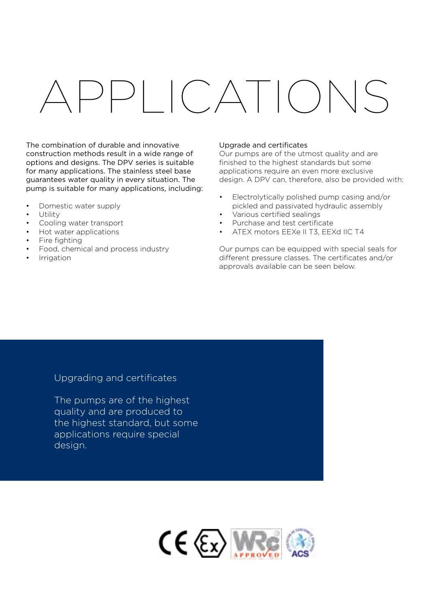# APPLICATIONS

The combination of durable and innovative construction methods result in a wide range of options and designs. The DPV series is suitable for many applications. The stainless steel base guarantees water quality in every situation. The pump is suitable for many applications, including:

- Domestic water supply
- **Utility**
- Cooling water transport
- Hot water applications
- Fire fighting
- Food, chemical and process industry
- **Irrigation**

#### Upgrade and certificates

Our pumps are of the utmost quality and are finished to the highest standards but some applications require an even more exclusive design. A DPV can, therefore, also be provided with:

- Electrolytically polished pump casing and/or pickled and passivated hydraulic assembly
- Various certified sealings
- Purchase and test certificate
- ATEX motors EEXe II T3, EEXd IIC T4

Our pumps can be equipped with special seals for different pressure classes. The certificates and/or approvals available can be seen below.

Upgrading and certificates

The pumps are of the highest quality and are produced to the highest standard, but some applications require special design.

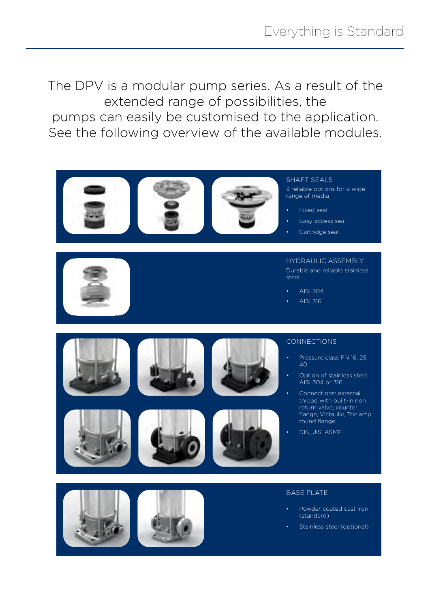The DPV is a modular pump series. As a result of the extended range of possibilities, the pumps can easily be customised to the application. See the following overview of the available modules.







#### BASE PLATE

- Powder coated cast iron (standard)
- Stainless steel (optional)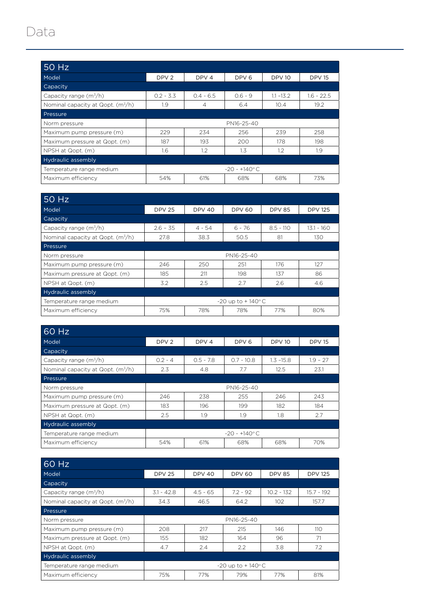## Data

| $50$ Hz                             |                       |             |                  |               |               |
|-------------------------------------|-----------------------|-------------|------------------|---------------|---------------|
| Model                               | DPV <sub>2</sub>      | DPV 4       | DPV <sub>6</sub> | <b>DPV 10</b> | <b>DPV 15</b> |
| Capacity                            |                       |             |                  |               |               |
| Capacity range $(m^3/h)$            | $0.2 - 3.3$           | $0.4 - 6.5$ | $0.6 - 9$        | $1.1 - 13.2$  | $1.6 - 22.5$  |
| Nominal capacity at Qopt. $(m^3/h)$ | 1.9                   | 4           | 6.4              | 10.4          | 19.2          |
| Pressure                            |                       |             |                  |               |               |
| Norm pressure                       | PN16-25-40            |             |                  |               |               |
| Maximum pump pressure (m)           | 229                   | 234         | 256              | 239           | 258           |
| Maximum pressure at Qopt. (m)       | 187                   | 193         | 200              | 178           | 198           |
| NPSH at Qopt. (m)                   | 1.6                   | 1.2         | 1.3              | 1.2           | 1.9           |
| <b>Hydraulic assembly</b>           |                       |             |                  |               |               |
| Temperature range medium            | $-20 - 140^{\circ}$ C |             |                  |               |               |
| Maximum efficiency                  | 54%                   | 61%         | 68%              | 68%           | 73%           |

| 50 Hz                                         |                              |               |               |               |                |
|-----------------------------------------------|------------------------------|---------------|---------------|---------------|----------------|
| Model                                         | <b>DPV 25</b>                | <b>DPV 40</b> | <b>DPV 60</b> | <b>DPV 85</b> | <b>DPV 125</b> |
| Capacity                                      |                              |               |               |               |                |
| Capacity range $(m^3/h)$                      | $2.6 - 35$                   | $4 - 54$      | $6 - 76$      | $8.5 - 110$   | 13.1 - 160     |
| Nominal capacity at Qopt. (m <sup>3</sup> /h) | 27.8                         | 38.3          | 50.5          | 81            | 130            |
| Pressure                                      |                              |               |               |               |                |
| Norm pressure                                 | PN16-25-40                   |               |               |               |                |
| Maximum pump pressure (m)                     | 246                          | 250           | 251           | 176           | 127            |
| Maximum pressure at Qopt. (m)                 | 185                          | 211           | 198           | 137           | 86             |
| NPSH at Qopt. (m)                             | 3.2                          | 2.5           | 2.7           | 2.6           | 4.6            |
| Hydraulic assembly                            |                              |               |               |               |                |
| Temperature range medium                      | $-20$ up to $+140^{\circ}$ C |               |               |               |                |
| Maximum efficiency                            | 75%                          | 78%           | 78%           | 77%           | 80%            |

| 60 Hz                               |                       |             |                  |               |               |
|-------------------------------------|-----------------------|-------------|------------------|---------------|---------------|
| Model                               | DPV <sub>2</sub>      | DPV 4       | DPV <sub>6</sub> | <b>DPV 10</b> | <b>DPV 15</b> |
| Capacity                            |                       |             |                  |               |               |
| Capacity range $(m^3/h)$            | $0.2 - 4$             | $0.5 - 7.8$ | $0.7 - 10.8$     | $1.3 - 15.8$  | $1.9 - 27$    |
| Nominal capacity at Qopt. $(m^3/h)$ | 2.3                   | 4.8         | 7.7              | 12.5          | 23.1          |
| Pressure                            |                       |             |                  |               |               |
| Norm pressure                       | PN16-25-40            |             |                  |               |               |
| Maximum pump pressure (m)           | 246                   | 238         | 255              | 246           | 243           |
| Maximum pressure at Qopt. (m)       | 183                   | 196         | 199              | 182           | 184           |
| NPSH at Qopt. (m)                   | 2.5                   | 1.9         | 1.9              | 1.8           | 2.7           |
| Hydraulic assembly                  |                       |             |                  |               |               |
| Temperature range medium            | $-20 - 140^{\circ}$ C |             |                  |               |               |
| Maximum efficiency                  | 54%                   | 61%         | 68%              | 68%           | 70%           |

| 60 Hz                                         |                              |               |               |               |                |
|-----------------------------------------------|------------------------------|---------------|---------------|---------------|----------------|
| Model                                         | <b>DPV 25</b>                | <b>DPV 40</b> | <b>DPV 60</b> | <b>DPV 85</b> | <b>DPV 125</b> |
| Capacity                                      |                              |               |               |               |                |
| Capacity range $(m^3/h)$                      | $3.1 - 42.8$                 | $4.5 - 65$    | $7.2 - 92$    | $10.2 - 132$  | $15.7 - 192$   |
| Nominal capacity at Qopt. (m <sup>3</sup> /h) | 34.3                         | 46.5          | 64.2          | 102           | 157.7          |
| Pressure                                      |                              |               |               |               |                |
| Norm pressure                                 | PN16-25-40                   |               |               |               |                |
| Maximum pump pressure (m)                     | 208                          | 217           | 215           | 146           | 110            |
| Maximum pressure at Qopt. (m)                 | 155                          | 182           | 164           | 96            | 71             |
| NPSH at Qopt. (m)                             | 4.7                          | 2.4           | 2.2           | 3.8           | 7.2            |
| <b>Hydraulic assembly</b>                     |                              |               |               |               |                |
| Temperature range medium                      | $-20$ up to $+140^{\circ}$ C |               |               |               |                |
| Maximum efficiency                            | 75%                          | 77%           | 79%           | 77%           | 81%            |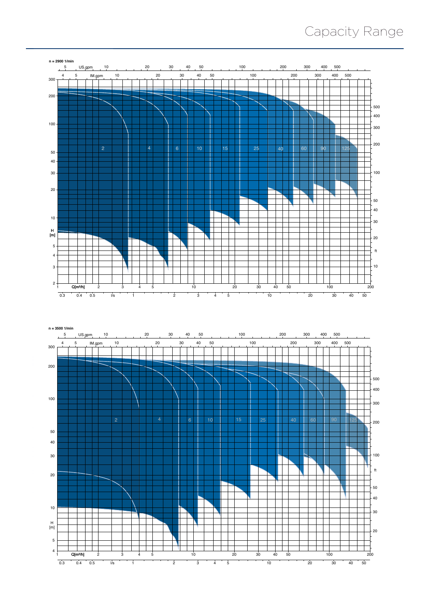